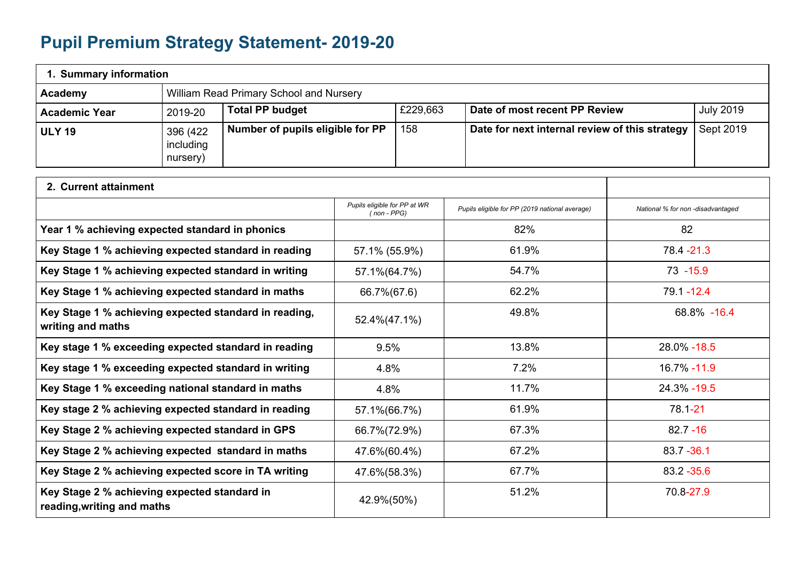## **Pupil Premium Strategy Statement- 2019-20**

| 1. Summary information                                                     |                                                      |                                         |                                                |          |                                                |                                   |                  |  |
|----------------------------------------------------------------------------|------------------------------------------------------|-----------------------------------------|------------------------------------------------|----------|------------------------------------------------|-----------------------------------|------------------|--|
| Academy                                                                    |                                                      | William Read Primary School and Nursery |                                                |          |                                                |                                   |                  |  |
| <b>Academic Year</b>                                                       | 2019-20                                              | <b>Total PP budget</b>                  |                                                | £229,663 | Date of most recent PP Review                  |                                   | <b>July 2019</b> |  |
| <b>ULY 19</b>                                                              | 396 (422<br>including<br>nursery)                    | Number of pupils eligible for PP        |                                                | 158      | Date for next internal review of this strategy |                                   | Sept 2019        |  |
| 2. Current attainment                                                      |                                                      |                                         |                                                |          |                                                |                                   |                  |  |
|                                                                            |                                                      |                                         | Pupils eligible for PP at WR<br>$( non - PPG)$ |          | Pupils eligible for PP (2019 national average) | National % for non -disadvantaged |                  |  |
| Year 1 % achieving expected standard in phonics                            |                                                      |                                         |                                                |          | 82%                                            | 82                                |                  |  |
| Key Stage 1 % achieving expected standard in reading                       |                                                      |                                         | 57.1% (55.9%)                                  |          | 61.9%                                          | 78.4 - 21.3                       |                  |  |
|                                                                            | Key Stage 1 % achieving expected standard in writing |                                         | 57.1%(64.7%)                                   |          | 54.7%                                          | $73 - 15.9$                       |                  |  |
|                                                                            | Key Stage 1 % achieving expected standard in maths   |                                         | 66.7%(67.6)                                    |          | 62.2%                                          |                                   | $79.1 - 12.4$    |  |
| Key Stage 1 % achieving expected standard in reading,<br>writing and maths |                                                      |                                         | 52.4%(47.1%)                                   |          | 49.8%                                          |                                   | 68.8% -16.4      |  |
| Key stage 1 % exceeding expected standard in reading                       |                                                      |                                         | 9.5%                                           |          | 13.8%                                          | 28.0% - 18.5                      |                  |  |
| Key stage 1 % exceeding expected standard in writing                       |                                                      |                                         | 4.8%                                           |          | 7.2%                                           | 16.7% - 11.9                      |                  |  |
| Key Stage 1 % exceeding national standard in maths                         |                                                      |                                         | 4.8%                                           |          | 11.7%                                          | 24.3% - 19.5                      |                  |  |
| Key stage 2 % achieving expected standard in reading                       |                                                      |                                         | 57.1%(66.7%)                                   |          | 61.9%                                          | 78.1-21                           |                  |  |
| Key Stage 2 % achieving expected standard in GPS                           |                                                      |                                         | 66.7%(72.9%)                                   |          | 67.3%                                          | $82.7 - 16$                       |                  |  |
| Key Stage 2 % achieving expected standard in maths                         |                                                      |                                         | 47.6%(60.4%)                                   |          | 67.2%                                          | 83.7 - 36.1                       |                  |  |
| Key Stage 2 % achieving expected score in TA writing                       |                                                      |                                         | 47.6%(58.3%)                                   |          | 67.7%                                          | 83.2 - 35.6                       |                  |  |
| Key Stage 2 % achieving expected standard in<br>reading, writing and maths |                                                      |                                         | 42.9%(50%)                                     |          | 51.2%                                          | 70.8-27.9                         |                  |  |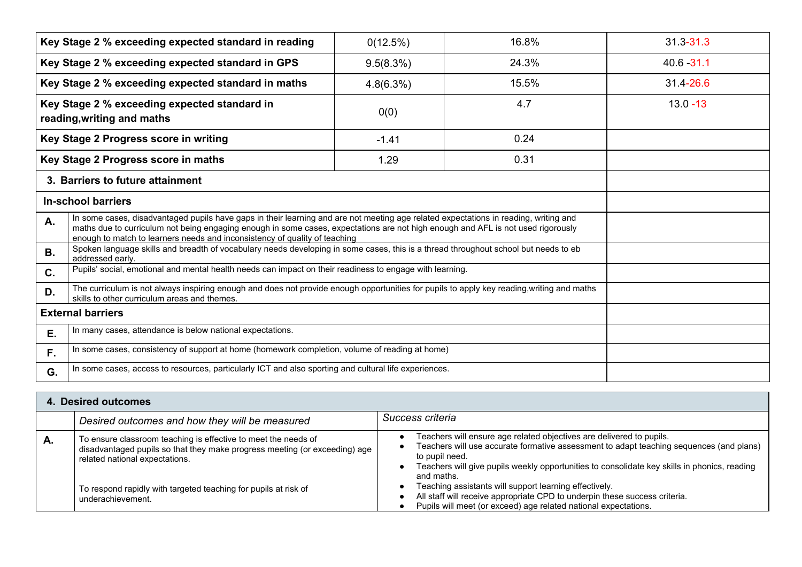|                                                                                                                                                                                                                                                                                                                                                              | Key Stage 2 % exceeding expected standard in reading                                                                                                                                       | 0(12.5%)  | 16.8% | $31.3 - 31.3$ |
|--------------------------------------------------------------------------------------------------------------------------------------------------------------------------------------------------------------------------------------------------------------------------------------------------------------------------------------------------------------|--------------------------------------------------------------------------------------------------------------------------------------------------------------------------------------------|-----------|-------|---------------|
|                                                                                                                                                                                                                                                                                                                                                              | Key Stage 2 % exceeding expected standard in GPS                                                                                                                                           | 9.5(8.3%) | 24.3% | $40.6 - 31.1$ |
|                                                                                                                                                                                                                                                                                                                                                              | Key Stage 2 % exceeding expected standard in maths                                                                                                                                         | 4.8(6.3%) | 15.5% | 31.4-26.6     |
| Key Stage 2 % exceeding expected standard in<br>reading, writing and maths                                                                                                                                                                                                                                                                                   |                                                                                                                                                                                            | 0(0)      | 4.7   | $13.0 - 13$   |
|                                                                                                                                                                                                                                                                                                                                                              | Key Stage 2 Progress score in writing                                                                                                                                                      | $-1.41$   | 0.24  |               |
|                                                                                                                                                                                                                                                                                                                                                              | Key Stage 2 Progress score in maths                                                                                                                                                        | 1.29      | 0.31  |               |
|                                                                                                                                                                                                                                                                                                                                                              | 3. Barriers to future attainment                                                                                                                                                           |           |       |               |
| <b>In-school barriers</b>                                                                                                                                                                                                                                                                                                                                    |                                                                                                                                                                                            |           |       |               |
| In some cases, disadvantaged pupils have gaps in their learning and are not meeting age related expectations in reading, writing and<br>А.<br>maths due to curriculum not being engaging enough in some cases, expectations are not high enough and AFL is not used rigorously<br>enough to match to learners needs and inconsistency of quality of teaching |                                                                                                                                                                                            |           |       |               |
| <b>B.</b>                                                                                                                                                                                                                                                                                                                                                    | Spoken language skills and breadth of vocabulary needs developing in some cases, this is a thread throughout school but needs to eb<br>addressed early.                                    |           |       |               |
| C.                                                                                                                                                                                                                                                                                                                                                           | Pupils' social, emotional and mental health needs can impact on their readiness to engage with learning.                                                                                   |           |       |               |
| D.                                                                                                                                                                                                                                                                                                                                                           | The curriculum is not always inspiring enough and does not provide enough opportunities for pupils to apply key reading, writing and maths<br>skills to other curriculum areas and themes. |           |       |               |
| <b>External barriers</b>                                                                                                                                                                                                                                                                                                                                     |                                                                                                                                                                                            |           |       |               |
| Ε.                                                                                                                                                                                                                                                                                                                                                           | In many cases, attendance is below national expectations.                                                                                                                                  |           |       |               |
| F.                                                                                                                                                                                                                                                                                                                                                           | In some cases, consistency of support at home (homework completion, volume of reading at home)                                                                                             |           |       |               |
| G.                                                                                                                                                                                                                                                                                                                                                           | In some cases, access to resources, particularly ICT and also sporting and cultural life experiences.                                                                                      |           |       |               |

|    | . Desired outcomes                                                                                                                                                             |                                                                                                                                                                                                                                                                                                 |  |  |
|----|--------------------------------------------------------------------------------------------------------------------------------------------------------------------------------|-------------------------------------------------------------------------------------------------------------------------------------------------------------------------------------------------------------------------------------------------------------------------------------------------|--|--|
|    | Desired outcomes and how they will be measured                                                                                                                                 | Success criteria                                                                                                                                                                                                                                                                                |  |  |
| А. | To ensure classroom teaching is effective to meet the needs of<br>disadvantaged pupils so that they make progress meeting (or exceeding) age<br>related national expectations. | Teachers will ensure age related objectives are delivered to pupils.<br>Teachers will use accurate formative assessment to adapt teaching sequences (and plans)<br>to pupil need.<br>Teachers will give pupils weekly opportunities to consolidate key skills in phonics, reading<br>and maths. |  |  |
|    | To respond rapidly with targeted teaching for pupils at risk of<br>underachievement.                                                                                           | Teaching assistants will support learning effectively.<br>All staff will receive appropriate CPD to underpin these success criteria.<br>Pupils will meet (or exceed) age related national expectations.                                                                                         |  |  |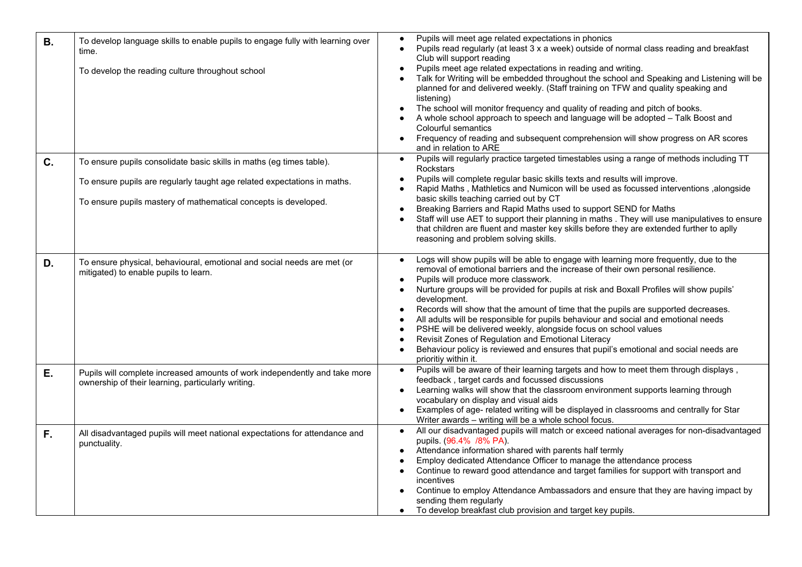| <b>B.</b> | To develop language skills to enable pupils to engage fully with learning over<br>time.<br>To develop the reading culture throughout school                                                                         | Pupils will meet age related expectations in phonics<br>$\bullet$<br>Pupils read regularly (at least 3 x a week) outside of normal class reading and breakfast<br>Club will support reading<br>Pupils meet age related expectations in reading and writing.<br>Talk for Writing will be embedded throughout the school and Speaking and Listening will be<br>planned for and delivered weekly. (Staff training on TFW and quality speaking and<br>listening)<br>The school will monitor frequency and quality of reading and pitch of books.<br>A whole school approach to speech and language will be adopted - Talk Boost and<br>Colourful semantics<br>Frequency of reading and subsequent comprehension will show progress on AR scores<br>and in relation to ARE                                                 |
|-----------|---------------------------------------------------------------------------------------------------------------------------------------------------------------------------------------------------------------------|-----------------------------------------------------------------------------------------------------------------------------------------------------------------------------------------------------------------------------------------------------------------------------------------------------------------------------------------------------------------------------------------------------------------------------------------------------------------------------------------------------------------------------------------------------------------------------------------------------------------------------------------------------------------------------------------------------------------------------------------------------------------------------------------------------------------------|
| C.        | To ensure pupils consolidate basic skills in maths (eg times table).<br>To ensure pupils are regularly taught age related expectations in maths.<br>To ensure pupils mastery of mathematical concepts is developed. | Pupils will regularly practice targeted timestables using a range of methods including TT<br>$\bullet$<br><b>Rockstars</b><br>Pupils will complete regular basic skills texts and results will improve.<br>Rapid Maths, Mathletics and Numicon will be used as focussed interventions, alongside<br>basic skills teaching carried out by CT<br>Breaking Barriers and Rapid Maths used to support SEND for Maths<br>Staff will use AET to support their planning in maths . They will use manipulatives to ensure<br>that children are fluent and master key skills before they are extended further to aplly                                                                                                                                                                                                          |
| D.        | To ensure physical, behavioural, emotional and social needs are met (or<br>mitigated) to enable pupils to learn.                                                                                                    | reasoning and problem solving skills.<br>Logs will show pupils will be able to engage with learning more frequently, due to the<br>$\bullet$<br>removal of emotional barriers and the increase of their own personal resilience.<br>Pupils will produce more classwork.<br>Nurture groups will be provided for pupils at risk and Boxall Profiles will show pupils'<br>development.<br>Records will show that the amount of time that the pupils are supported decreases.<br>$\bullet$<br>All adults will be responsible for pupils behaviour and social and emotional needs<br>PSHE will be delivered weekly, alongside focus on school values<br>Revisit Zones of Regulation and Emotional Literacy<br>Behaviour policy is reviewed and ensures that pupil's emotional and social needs are<br>prioritiy within it. |
| Е.        | Pupils will complete increased amounts of work independently and take more<br>ownership of their learning, particularly writing.                                                                                    | Pupils will be aware of their learning targets and how to meet them through displays,<br>$\bullet$<br>feedback, target cards and focussed discussions<br>Learning walks will show that the classroom environment supports learning through<br>vocabulary on display and visual aids<br>Examples of age- related writing will be displayed in classrooms and centrally for Star<br>Writer awards - writing will be a whole school focus.                                                                                                                                                                                                                                                                                                                                                                               |
| F.        | All disadvantaged pupils will meet national expectations for attendance and<br>punctuality.                                                                                                                         | All our disadvantaged pupils will match or exceed national averages for non-disadvantaged<br>pupils. (96.4% /8% PA).<br>Attendance information shared with parents half termly<br>Employ dedicated Attendance Officer to manage the attendance process<br>Continue to reward good attendance and target families for support with transport and<br>incentives<br>Continue to employ Attendance Ambassadors and ensure that they are having impact by<br>sending them regularly<br>To develop breakfast club provision and target key pupils.                                                                                                                                                                                                                                                                          |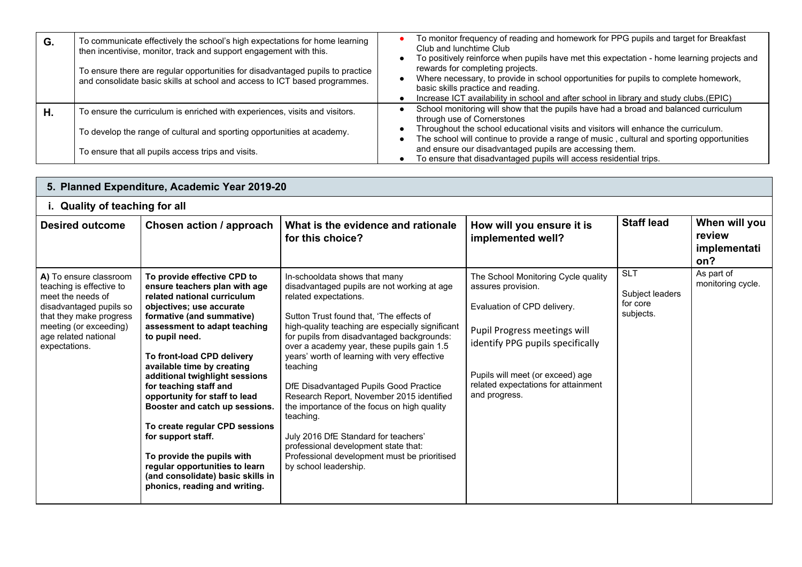| G. | To communicate effectively the school's high expectations for home learning<br>then incentivise, monitor, track and support engagement with this.            | To monitor frequency of reading and homework for PPG pupils and target for Breakfast<br>Club and lunchtime Club<br>To positively reinforce when pupils have met this expectation - home learning projects and                                            |
|----|--------------------------------------------------------------------------------------------------------------------------------------------------------------|----------------------------------------------------------------------------------------------------------------------------------------------------------------------------------------------------------------------------------------------------------|
|    | To ensure there are regular opportunities for disadvantaged pupils to practice<br>and consolidate basic skills at school and access to ICT based programmes. | rewards for completing projects.<br>Where necessary, to provide in school opportunities for pupils to complete homework,<br>basic skills practice and reading.<br>Increase ICT availability in school and after school in library and study clubs.(EPIC) |
| Η. | To ensure the curriculum is enriched with experiences, visits and visitors.                                                                                  | School monitoring will show that the pupils have had a broad and balanced curriculum<br>through use of Cornerstones                                                                                                                                      |
|    | To develop the range of cultural and sporting opportunities at academy.                                                                                      | Throughout the school educational visits and visitors will enhance the curriculum.<br>The school will continue to provide a range of music, cultural and sporting opportunities                                                                          |
|    | To ensure that all pupils access trips and visits.                                                                                                           | and ensure our disadvantaged pupils are accessing them.<br>To ensure that disadvantaged pupils will access residential trips.                                                                                                                            |

|                                                                                                                                                                                                  | 5. Planned Expenditure, Academic Year 2019-20                                                                                                                                                                                                                                                                                                                                                                                                                                                                                                                                                   |                                                                                                                                                                                                                                                                                                                                                                                                                                                                                                                                                                                                                                                                           |                                                                                                                                                                                                                                                          |                                                        |                                                |
|--------------------------------------------------------------------------------------------------------------------------------------------------------------------------------------------------|-------------------------------------------------------------------------------------------------------------------------------------------------------------------------------------------------------------------------------------------------------------------------------------------------------------------------------------------------------------------------------------------------------------------------------------------------------------------------------------------------------------------------------------------------------------------------------------------------|---------------------------------------------------------------------------------------------------------------------------------------------------------------------------------------------------------------------------------------------------------------------------------------------------------------------------------------------------------------------------------------------------------------------------------------------------------------------------------------------------------------------------------------------------------------------------------------------------------------------------------------------------------------------------|----------------------------------------------------------------------------------------------------------------------------------------------------------------------------------------------------------------------------------------------------------|--------------------------------------------------------|------------------------------------------------|
| i. Quality of teaching for all                                                                                                                                                                   |                                                                                                                                                                                                                                                                                                                                                                                                                                                                                                                                                                                                 |                                                                                                                                                                                                                                                                                                                                                                                                                                                                                                                                                                                                                                                                           |                                                                                                                                                                                                                                                          |                                                        |                                                |
| <b>Desired outcome</b>                                                                                                                                                                           | Chosen action / approach                                                                                                                                                                                                                                                                                                                                                                                                                                                                                                                                                                        | What is the evidence and rationale<br>for this choice?                                                                                                                                                                                                                                                                                                                                                                                                                                                                                                                                                                                                                    | How will you ensure it is<br>implemented well?                                                                                                                                                                                                           | <b>Staff lead</b>                                      | When will you<br>review<br>implementati<br>on? |
| A) To ensure classroom<br>teaching is effective to<br>meet the needs of<br>disadvantaged pupils so<br>that they make progress<br>meeting (or exceeding)<br>age related national<br>expectations. | To provide effective CPD to<br>ensure teachers plan with age<br>related national curriculum<br>objectives; use accurate<br>formative (and summative)<br>assessment to adapt teaching<br>to pupil need.<br>To front-load CPD delivery<br>available time by creating<br>additional twighlight sessions<br>for teaching staff and<br>opportunity for staff to lead<br>Booster and catch up sessions.<br>To create regular CPD sessions<br>for support staff.<br>To provide the pupils with<br>regular opportunities to learn<br>(and consolidate) basic skills in<br>phonics, reading and writing. | In-schooldata shows that many<br>disadvantaged pupils are not working at age<br>related expectations.<br>Sutton Trust found that. 'The effects of<br>high-quality teaching are especially significant<br>for pupils from disadvantaged backgrounds:<br>over a academy year, these pupils gain 1.5<br>years' worth of learning with very effective<br>teaching<br>DfE Disadvantaged Pupils Good Practice<br>Research Report, November 2015 identified<br>the importance of the focus on high quality<br>teaching.<br>July 2016 DfE Standard for teachers'<br>professional development state that:<br>Professional development must be prioritised<br>by school leadership. | The School Monitoring Cycle quality<br>assures provision.<br>Evaluation of CPD delivery.<br>Pupil Progress meetings will<br>identify PPG pupils specifically<br>Pupils will meet (or exceed) age<br>related expectations for attainment<br>and progress. | <b>SLT</b><br>Subject leaders<br>for core<br>subjects. | As part of<br>monitoring cycle.                |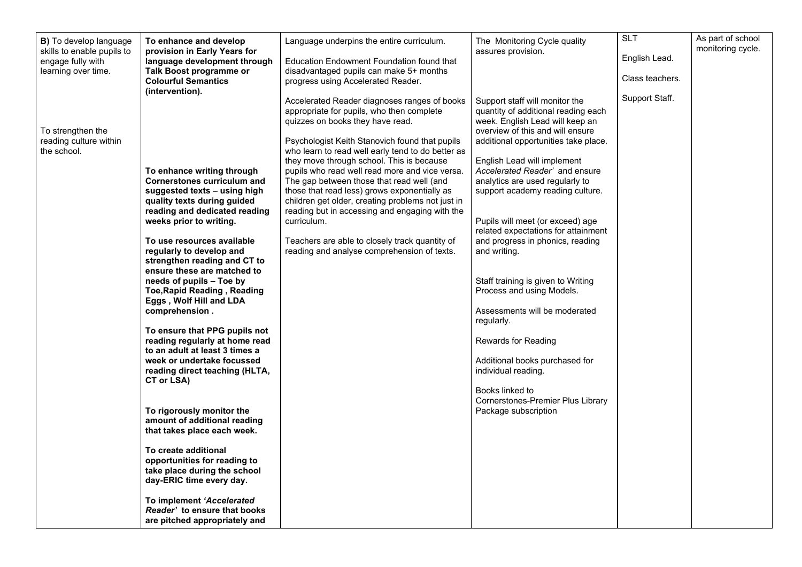| B) To develop language<br>skills to enable pupils to<br>engage fully with<br>learning over time. | To enhance and develop<br>provision in Early Years for<br>language development through<br>Talk Boost programme or<br><b>Colourful Semantics</b><br>(intervention).                                                                                                                                                                                                                                                                                                                                                                                                                                                                                                                                                                                                                                                                                                                                                                   | Language underpins the entire curriculum.<br>Education Endowment Foundation found that<br>disadvantaged pupils can make 5+ months<br>progress using Accelerated Reader.<br>Accelerated Reader diagnoses ranges of books<br>appropriate for pupils, who then complete                                                                                                                                                                                                                                                                                       | The Monitoring Cycle quality<br>assures provision.<br>Support staff will monitor the<br>quantity of additional reading each                                                                                                                                                                                                                                                                                                                                                                                                                                                                                                                                          | <b>SLT</b><br>English Lead.<br>Class teachers.<br>Support Staff. | As part of school<br>monitoring cycle. |
|--------------------------------------------------------------------------------------------------|--------------------------------------------------------------------------------------------------------------------------------------------------------------------------------------------------------------------------------------------------------------------------------------------------------------------------------------------------------------------------------------------------------------------------------------------------------------------------------------------------------------------------------------------------------------------------------------------------------------------------------------------------------------------------------------------------------------------------------------------------------------------------------------------------------------------------------------------------------------------------------------------------------------------------------------|------------------------------------------------------------------------------------------------------------------------------------------------------------------------------------------------------------------------------------------------------------------------------------------------------------------------------------------------------------------------------------------------------------------------------------------------------------------------------------------------------------------------------------------------------------|----------------------------------------------------------------------------------------------------------------------------------------------------------------------------------------------------------------------------------------------------------------------------------------------------------------------------------------------------------------------------------------------------------------------------------------------------------------------------------------------------------------------------------------------------------------------------------------------------------------------------------------------------------------------|------------------------------------------------------------------|----------------------------------------|
| To strengthen the<br>reading culture within<br>the school.                                       | To enhance writing through<br><b>Cornerstones curriculum and</b><br>suggested texts - using high<br>quality texts during guided<br>reading and dedicated reading<br>weeks prior to writing.<br>To use resources available<br>regularly to develop and<br>strengthen reading and CT to<br>ensure these are matched to<br>needs of pupils - Toe by<br><b>Toe, Rapid Reading, Reading</b><br>Eggs, Wolf Hill and LDA<br>comprehension.<br>To ensure that PPG pupils not<br>reading regularly at home read<br>to an adult at least 3 times a<br>week or undertake focussed<br>reading direct teaching (HLTA,<br>CT or LSA)<br>To rigorously monitor the<br>amount of additional reading<br>that takes place each week.<br>To create additional<br>opportunities for reading to<br>take place during the school<br>day-ERIC time every day.<br>To implement 'Accelerated<br>Reader' to ensure that books<br>are pitched appropriately and | quizzes on books they have read.<br>Psychologist Keith Stanovich found that pupils<br>who learn to read well early tend to do better as<br>they move through school. This is because<br>pupils who read well read more and vice versa.<br>The gap between those that read well (and<br>those that read less) grows exponentially as<br>children get older, creating problems not just in<br>reading but in accessing and engaging with the<br>curriculum.<br>Teachers are able to closely track quantity of<br>reading and analyse comprehension of texts. | week. English Lead will keep an<br>overview of this and will ensure<br>additional opportunities take place.<br>English Lead will implement<br>Accelerated Reader' and ensure<br>analytics are used regularly to<br>support academy reading culture.<br>Pupils will meet (or exceed) age<br>related expectations for attainment<br>and progress in phonics, reading<br>and writing.<br>Staff training is given to Writing<br>Process and using Models.<br>Assessments will be moderated<br>regularly.<br>Rewards for Reading<br>Additional books purchased for<br>individual reading.<br>Books linked to<br>Cornerstones-Premier Plus Library<br>Package subscription |                                                                  |                                        |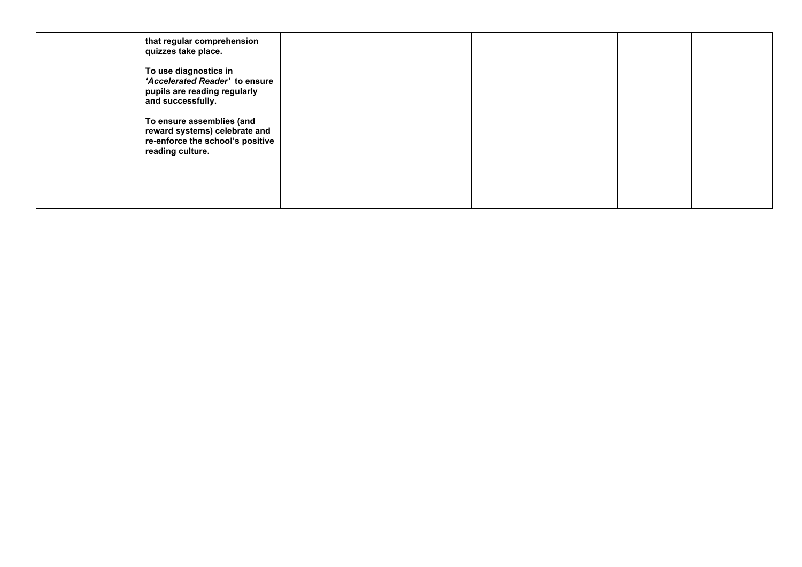| that regular comprehension<br>quizzes take place.                                                                  |  |  |
|--------------------------------------------------------------------------------------------------------------------|--|--|
| To use diagnostics in<br>'Accelerated Reader' to ensure<br>pupils are reading regularly<br>and successfully.       |  |  |
| To ensure assemblies (and<br>reward systems) celebrate and<br>re-enforce the school's positive<br>reading culture. |  |  |
|                                                                                                                    |  |  |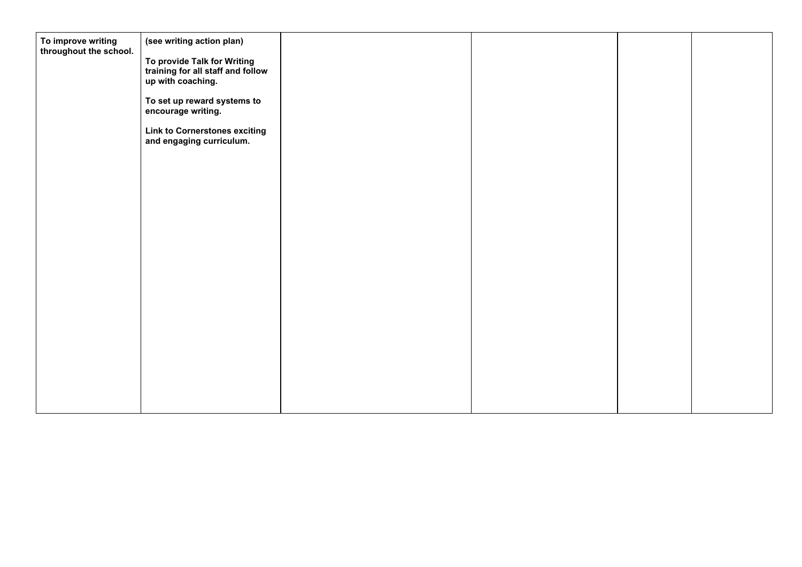| To improve writing<br>throughout the school. | (see writing action plan)<br>To provide Talk for Writing<br>training for all staff and follow<br>up with coaching.<br>To set up reward systems to<br>encourage writing.<br><b>Link to Cornerstones exciting</b><br>and engaging curriculum. |  |  |
|----------------------------------------------|---------------------------------------------------------------------------------------------------------------------------------------------------------------------------------------------------------------------------------------------|--|--|
|                                              |                                                                                                                                                                                                                                             |  |  |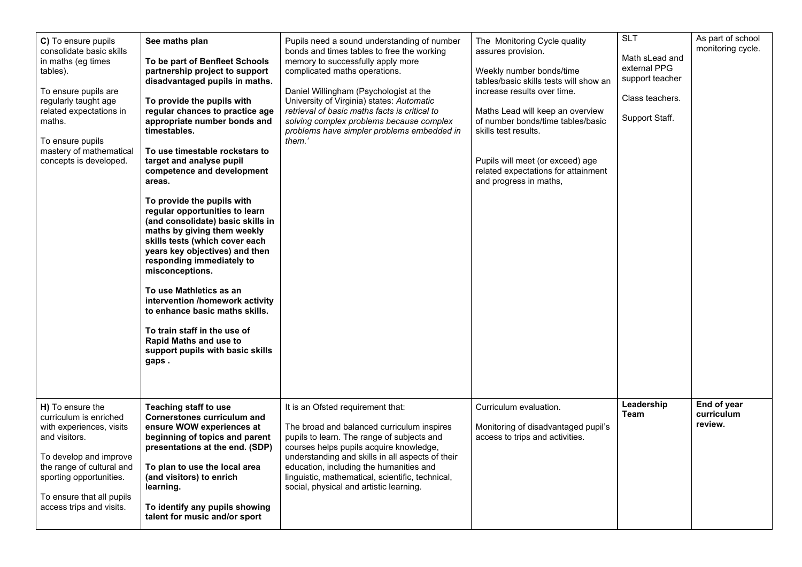| C) To ensure pupils<br>consolidate basic skills<br>in maths (eg times<br>tables).<br>To ensure pupils are<br>regularly taught age<br>related expectations in<br>maths.<br>To ensure pupils<br>mastery of mathematical<br>concepts is developed. | See maths plan<br>To be part of Benfleet Schools<br>partnership project to support<br>disadvantaged pupils in maths.<br>To provide the pupils with<br>regular chances to practice age<br>appropriate number bonds and<br>timestables.<br>To use timestable rockstars to<br>target and analyse pupil<br>competence and development<br>areas.<br>To provide the pupils with<br>regular opportunities to learn<br>(and consolidate) basic skills in<br>maths by giving them weekly<br>skills tests (which cover each<br>years key objectives) and then<br>responding immediately to<br>misconceptions.<br>To use Mathletics as an<br>intervention /homework activity<br>to enhance basic maths skills.<br>To train staff in the use of<br><b>Rapid Maths and use to</b><br>support pupils with basic skills<br>gaps. | Pupils need a sound understanding of number<br>bonds and times tables to free the working<br>memory to successfully apply more<br>complicated maths operations.<br>Daniel Willingham (Psychologist at the<br>University of Virginia) states: Automatic<br>retrieval of basic maths facts is critical to<br>solving complex problems because complex<br>problems have simpler problems embedded in<br>them.' | The Monitoring Cycle quality<br>assures provision.<br>Weekly number bonds/time<br>tables/basic skills tests will show an<br>increase results over time.<br>Maths Lead will keep an overview<br>of number bonds/time tables/basic<br>skills test results.<br>Pupils will meet (or exceed) age<br>related expectations for attainment<br>and progress in maths, | <b>SLT</b><br>Math sLead and<br>external PPG<br>support teacher<br>Class teachers.<br>Support Staff. | As part of school<br>monitoring cycle. |
|-------------------------------------------------------------------------------------------------------------------------------------------------------------------------------------------------------------------------------------------------|-------------------------------------------------------------------------------------------------------------------------------------------------------------------------------------------------------------------------------------------------------------------------------------------------------------------------------------------------------------------------------------------------------------------------------------------------------------------------------------------------------------------------------------------------------------------------------------------------------------------------------------------------------------------------------------------------------------------------------------------------------------------------------------------------------------------|-------------------------------------------------------------------------------------------------------------------------------------------------------------------------------------------------------------------------------------------------------------------------------------------------------------------------------------------------------------------------------------------------------------|---------------------------------------------------------------------------------------------------------------------------------------------------------------------------------------------------------------------------------------------------------------------------------------------------------------------------------------------------------------|------------------------------------------------------------------------------------------------------|----------------------------------------|
| H) To ensure the<br>curriculum is enriched<br>with experiences, visits<br>and visitors.<br>To develop and improve<br>the range of cultural and<br>sporting opportunities.<br>To ensure that all pupils<br>access trips and visits.              | Teaching staff to use<br><b>Cornerstones curriculum and</b><br>ensure WOW experiences at<br>beginning of topics and parent<br>presentations at the end. (SDP)<br>To plan to use the local area<br>(and visitors) to enrich<br>learning.<br>To identify any pupils showing<br>talent for music and/or sport                                                                                                                                                                                                                                                                                                                                                                                                                                                                                                        | It is an Ofsted requirement that:<br>The broad and balanced curriculum inspires<br>pupils to learn. The range of subjects and<br>courses helps pupils acquire knowledge,<br>understanding and skills in all aspects of their<br>education, including the humanities and<br>linguistic, mathematical, scientific, technical,<br>social, physical and artistic learning.                                      | Curriculum evaluation.<br>Monitoring of disadvantaged pupil's<br>access to trips and activities.                                                                                                                                                                                                                                                              | Leadership<br>Team                                                                                   | End of year<br>curriculum<br>review.   |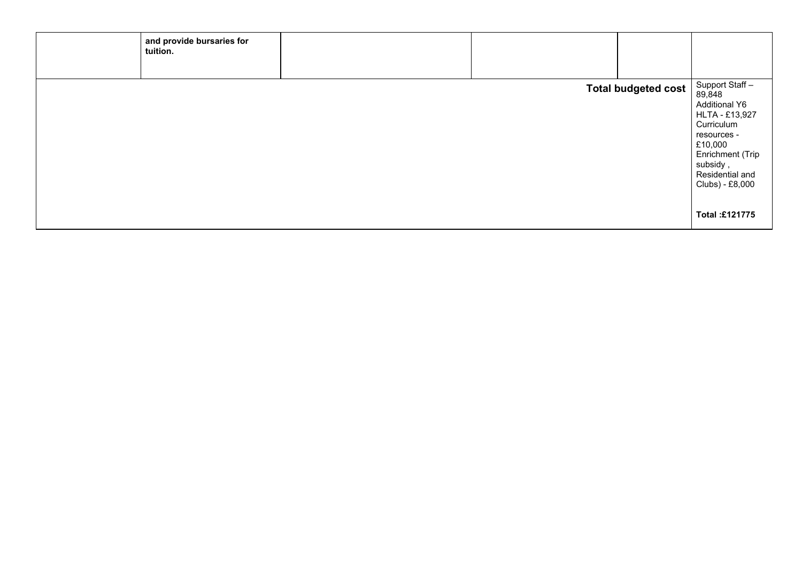| and provide bursaries for<br>tuition. |                            |                                                                                                                                                                                                    |
|---------------------------------------|----------------------------|----------------------------------------------------------------------------------------------------------------------------------------------------------------------------------------------------|
|                                       |                            |                                                                                                                                                                                                    |
|                                       | <b>Total budgeted cost</b> | Support Staff-<br>89,848<br><b>Additional Y6</b><br>HLTA - £13,927<br>Curriculum<br>resources -<br>£10,000<br>Enrichment (Trip<br>subsidy,<br>Residential and<br>Clubs) - £8,000<br>Total: £121775 |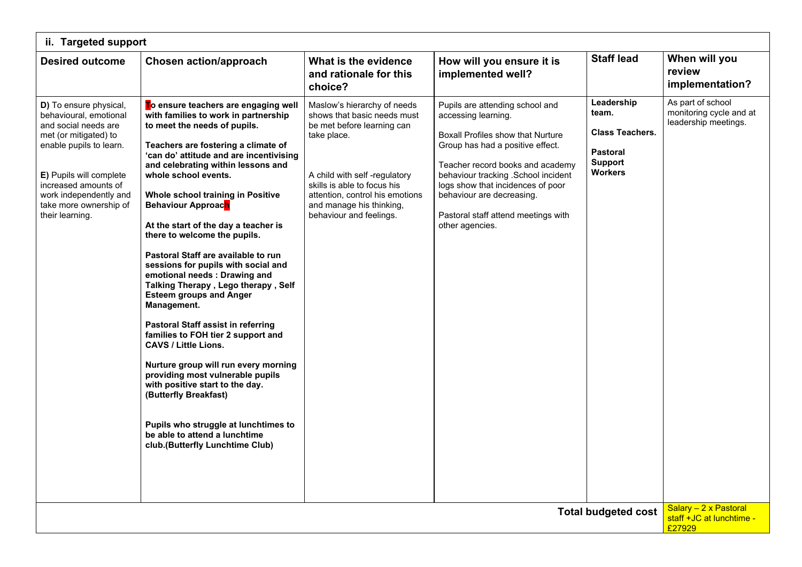| ii. Targeted support                                                                                                                                                                                                                                          |                                                                                                                                                                                                                                                                                                                                                                                                                                                                                                                                                                                                                                                                                                                                                                                                                                                                                                                                                                                     |                                                                                                                                                                                                                                                                  |                                                                                                                                                                                                                                                                                                                                         |                                                                                                      |                                                                                               |  |  |
|---------------------------------------------------------------------------------------------------------------------------------------------------------------------------------------------------------------------------------------------------------------|-------------------------------------------------------------------------------------------------------------------------------------------------------------------------------------------------------------------------------------------------------------------------------------------------------------------------------------------------------------------------------------------------------------------------------------------------------------------------------------------------------------------------------------------------------------------------------------------------------------------------------------------------------------------------------------------------------------------------------------------------------------------------------------------------------------------------------------------------------------------------------------------------------------------------------------------------------------------------------------|------------------------------------------------------------------------------------------------------------------------------------------------------------------------------------------------------------------------------------------------------------------|-----------------------------------------------------------------------------------------------------------------------------------------------------------------------------------------------------------------------------------------------------------------------------------------------------------------------------------------|------------------------------------------------------------------------------------------------------|-----------------------------------------------------------------------------------------------|--|--|
| <b>Desired outcome</b>                                                                                                                                                                                                                                        | <b>Chosen action/approach</b>                                                                                                                                                                                                                                                                                                                                                                                                                                                                                                                                                                                                                                                                                                                                                                                                                                                                                                                                                       | What is the evidence<br>and rationale for this<br>choice?                                                                                                                                                                                                        | How will you ensure it is<br>implemented well?                                                                                                                                                                                                                                                                                          | <b>Staff lead</b>                                                                                    | When will you<br>review<br>implementation?                                                    |  |  |
| D) To ensure physical,<br>behavioural, emotional<br>and social needs are<br>met (or mitigated) to<br>enable pupils to learn.<br><b>E)</b> Pupils will complete<br>increased amounts of<br>work independently and<br>take more ownership of<br>their learning. | To ensure teachers are engaging well<br>with families to work in partnership<br>to meet the needs of pupils.<br>Teachers are fostering a climate of<br>'can do' attitude and are incentivising<br>and celebrating within lessons and<br>whole school events.<br>Whole school training in Positive<br><b>Behaviour Approach</b><br>At the start of the day a teacher is<br>there to welcome the pupils.<br>Pastoral Staff are available to run<br>sessions for pupils with social and<br>emotional needs : Drawing and<br>Talking Therapy, Lego therapy, Self<br><b>Esteem groups and Anger</b><br>Management.<br><b>Pastoral Staff assist in referring</b><br>families to FOH tier 2 support and<br><b>CAVS / Little Lions.</b><br>Nurture group will run every morning<br>providing most vulnerable pupils<br>with positive start to the day.<br>(Butterfly Breakfast)<br>Pupils who struggle at lunchtimes to<br>be able to attend a lunchtime<br>club.(Butterfly Lunchtime Club) | Maslow's hierarchy of needs<br>shows that basic needs must<br>be met before learning can<br>take place.<br>A child with self-regulatory<br>skills is able to focus his<br>attention, control his emotions<br>and manage his thinking,<br>behaviour and feelings. | Pupils are attending school and<br>accessing learning.<br>Boxall Profiles show that Nurture<br>Group has had a positive effect.<br>Teacher record books and academy<br>behaviour tracking . School incident<br>logs show that incidences of poor<br>behaviour are decreasing.<br>Pastoral staff attend meetings with<br>other agencies. | Leadership<br>team.<br><b>Class Teachers.</b><br><b>Pastoral</b><br><b>Support</b><br><b>Workers</b> | As part of school<br>monitoring cycle and at<br>leadership meetings.<br>Salary - 2 x Pastoral |  |  |
|                                                                                                                                                                                                                                                               | <b>Total budgeted cost</b><br>staff +JC at lunchtime -<br>£27929                                                                                                                                                                                                                                                                                                                                                                                                                                                                                                                                                                                                                                                                                                                                                                                                                                                                                                                    |                                                                                                                                                                                                                                                                  |                                                                                                                                                                                                                                                                                                                                         |                                                                                                      |                                                                                               |  |  |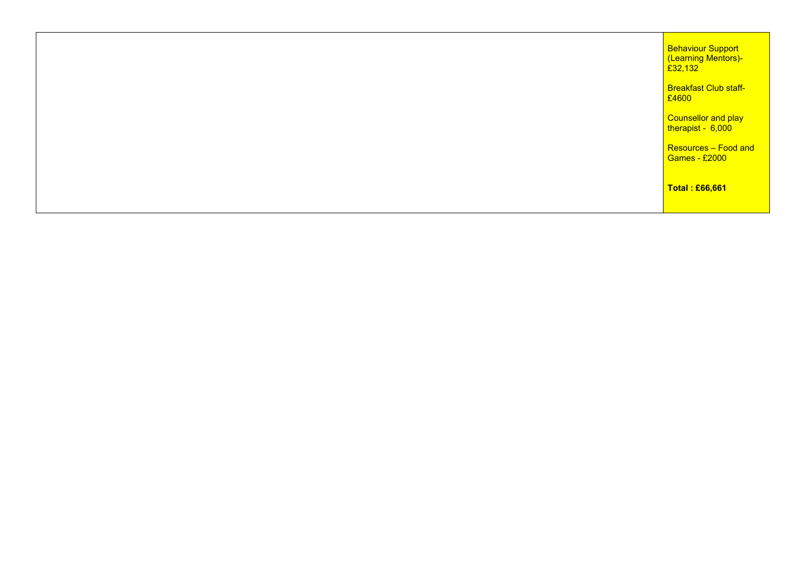| Total : £66,661                                            |
|------------------------------------------------------------|
| Resources - Food and<br><b>Games - £2000</b>               |
| Counsellor and play<br>therapist - 6,000                   |
| <b>Breakfast Club staff-</b><br>£4600                      |
| <b>Behaviour Support</b><br>(Learning Mentors)-<br>£32,132 |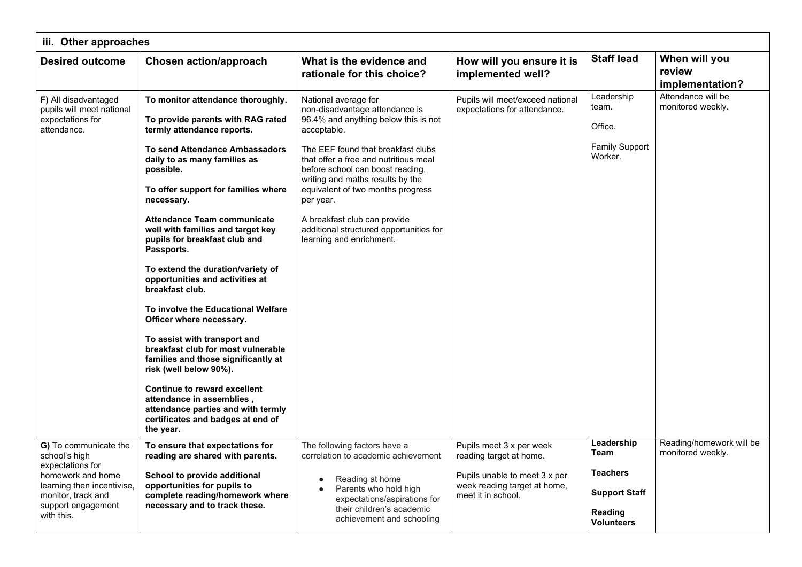| iii. Other approaches                                                                                                                                                   |                                                                                                                                                                                                                                                                                                                                                                                                                                                                                                                                                                                                                                                                                                                                                                                                                                           |                                                                                                                                                                                                                                                                                                                                                                                                                               |                                                                                                                                            |                                                                                                      |                                               |  |
|-------------------------------------------------------------------------------------------------------------------------------------------------------------------------|-------------------------------------------------------------------------------------------------------------------------------------------------------------------------------------------------------------------------------------------------------------------------------------------------------------------------------------------------------------------------------------------------------------------------------------------------------------------------------------------------------------------------------------------------------------------------------------------------------------------------------------------------------------------------------------------------------------------------------------------------------------------------------------------------------------------------------------------|-------------------------------------------------------------------------------------------------------------------------------------------------------------------------------------------------------------------------------------------------------------------------------------------------------------------------------------------------------------------------------------------------------------------------------|--------------------------------------------------------------------------------------------------------------------------------------------|------------------------------------------------------------------------------------------------------|-----------------------------------------------|--|
| <b>Desired outcome</b>                                                                                                                                                  | <b>Chosen action/approach</b>                                                                                                                                                                                                                                                                                                                                                                                                                                                                                                                                                                                                                                                                                                                                                                                                             | What is the evidence and<br>rationale for this choice?                                                                                                                                                                                                                                                                                                                                                                        | How will you ensure it is<br>implemented well?                                                                                             | <b>Staff lead</b>                                                                                    | When will you<br>review<br>implementation?    |  |
| F) All disadvantaged<br>pupils will meet national<br>expectations for<br>attendance.                                                                                    | To monitor attendance thoroughly.<br>To provide parents with RAG rated<br>termly attendance reports.<br><b>To send Attendance Ambassadors</b><br>daily to as many families as<br>possible.<br>To offer support for families where<br>necessary.<br><b>Attendance Team communicate</b><br>well with families and target key<br>pupils for breakfast club and<br>Passports.<br>To extend the duration/variety of<br>opportunities and activities at<br>breakfast club.<br>To involve the Educational Welfare<br>Officer where necessary.<br>To assist with transport and<br>breakfast club for most vulnerable<br>families and those significantly at<br>risk (well below 90%).<br><b>Continue to reward excellent</b><br>attendance in assemblies,<br>attendance parties and with termly<br>certificates and badges at end of<br>the year. | National average for<br>non-disadvantage attendance is<br>96.4% and anything below this is not<br>acceptable.<br>The EEF found that breakfast clubs<br>that offer a free and nutritious meal<br>before school can boost reading,<br>writing and maths results by the<br>equivalent of two months progress<br>per year.<br>A breakfast club can provide<br>additional structured opportunities for<br>learning and enrichment. | Pupils will meet/exceed national<br>expectations for attendance.                                                                           | Leadership<br>team.<br>Office.<br><b>Family Support</b><br>Worker.                                   | Attendance will be<br>monitored weekly.       |  |
| G) To communicate the<br>school's high<br>expectations for<br>homework and home<br>learning then incentivise,<br>monitor, track and<br>support engagement<br>with this. | To ensure that expectations for<br>reading are shared with parents.<br>School to provide additional<br>opportunities for pupils to<br>complete reading/homework where<br>necessary and to track these.                                                                                                                                                                                                                                                                                                                                                                                                                                                                                                                                                                                                                                    | The following factors have a<br>correlation to academic achievement<br>Reading at home<br>$\bullet$<br>Parents who hold high<br>expectations/aspirations for<br>their children's academic<br>achievement and schooling                                                                                                                                                                                                        | Pupils meet 3 x per week<br>reading target at home.<br>Pupils unable to meet 3 x per<br>week reading target at home,<br>meet it in school. | Leadership<br>Team<br><b>Teachers</b><br><b>Support Staff</b><br><b>Reading</b><br><b>Volunteers</b> | Reading/homework will be<br>monitored weekly. |  |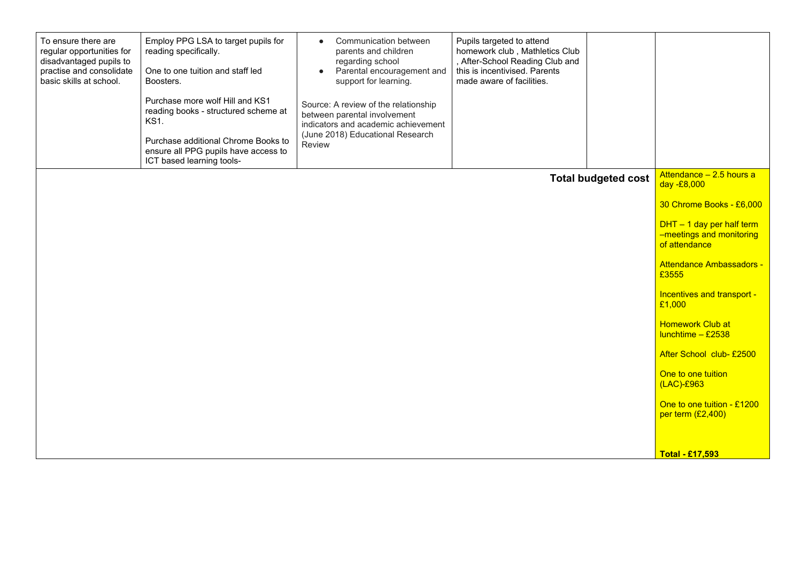| To ensure there are<br>regular opportunities for<br>disadvantaged pupils to<br>practise and consolidate<br>basic skills at school. | Employ PPG LSA to target pupils for<br>reading specifically.<br>One to one tuition and staff led<br>Boosters.<br>Purchase more wolf Hill and KS1<br>reading books - structured scheme at<br><b>KS1.</b><br>Purchase additional Chrome Books to<br>ensure all PPG pupils have access to<br>ICT based learning tools- | Communication between<br>$\bullet$<br>parents and children<br>regarding school<br>Parental encouragement and<br>$\bullet$<br>support for learning.<br>Source: A review of the relationship<br>between parental involvement<br>indicators and academic achievement<br>(June 2018) Educational Research<br>Review | Pupils targeted to attend<br>homework club, Mathletics Club<br>, After-School Reading Club and<br>this is incentivised. Parents<br>made aware of facilities. |                            |                                                                          |
|------------------------------------------------------------------------------------------------------------------------------------|---------------------------------------------------------------------------------------------------------------------------------------------------------------------------------------------------------------------------------------------------------------------------------------------------------------------|-----------------------------------------------------------------------------------------------------------------------------------------------------------------------------------------------------------------------------------------------------------------------------------------------------------------|--------------------------------------------------------------------------------------------------------------------------------------------------------------|----------------------------|--------------------------------------------------------------------------|
|                                                                                                                                    |                                                                                                                                                                                                                                                                                                                     |                                                                                                                                                                                                                                                                                                                 |                                                                                                                                                              | <b>Total budgeted cost</b> | Attendance - 2.5 hours a<br>day -£8,000                                  |
|                                                                                                                                    |                                                                                                                                                                                                                                                                                                                     |                                                                                                                                                                                                                                                                                                                 |                                                                                                                                                              |                            | 30 Chrome Books - £6,000                                                 |
|                                                                                                                                    |                                                                                                                                                                                                                                                                                                                     |                                                                                                                                                                                                                                                                                                                 |                                                                                                                                                              |                            | $DHT - 1$ day per half term<br>-meetings and monitoring<br>of attendance |
|                                                                                                                                    |                                                                                                                                                                                                                                                                                                                     |                                                                                                                                                                                                                                                                                                                 |                                                                                                                                                              |                            | <b>Attendance Ambassadors -</b><br>£3555                                 |
|                                                                                                                                    |                                                                                                                                                                                                                                                                                                                     |                                                                                                                                                                                                                                                                                                                 |                                                                                                                                                              |                            | Incentives and transport -<br>£1,000                                     |
|                                                                                                                                    |                                                                                                                                                                                                                                                                                                                     |                                                                                                                                                                                                                                                                                                                 |                                                                                                                                                              |                            | <b>Homework Club at</b><br>$l$ unchtime - £2538                          |
|                                                                                                                                    |                                                                                                                                                                                                                                                                                                                     |                                                                                                                                                                                                                                                                                                                 |                                                                                                                                                              |                            | After School club-£2500                                                  |
|                                                                                                                                    |                                                                                                                                                                                                                                                                                                                     |                                                                                                                                                                                                                                                                                                                 |                                                                                                                                                              |                            | One to one tuition<br>$(LAC)-E963$                                       |
|                                                                                                                                    |                                                                                                                                                                                                                                                                                                                     |                                                                                                                                                                                                                                                                                                                 |                                                                                                                                                              |                            | One to one tuition - £1200<br>per term (£2,400)                          |
|                                                                                                                                    |                                                                                                                                                                                                                                                                                                                     |                                                                                                                                                                                                                                                                                                                 |                                                                                                                                                              |                            | <b>Total - £17,593</b>                                                   |